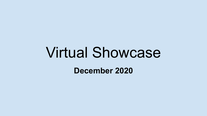# Virtual Showcase **December 2020**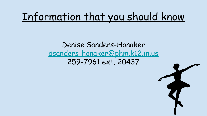# Information that you should know

#### Denise Sanders-Honaker [dsanders-honaker@phm.k12.in.us](mailto:dsanders-honaker@phm.k12.in.us) 259-7961 ext. 20437

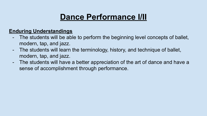## **Dance Performance I/II**

#### **Enduring Understandings**

- The students will be able to perform the beginning level concepts of ballet, modern, tap, and jazz.
- The students will learn the terminology, history, and technique of ballet, modern, tap, and jazz.
- The students will have a better appreciation of the art of dance and have a sense of accomplishment through performance.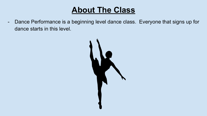- Dance Performance is a beginning level dance class. Everyone that signs up for dance starts in this level.

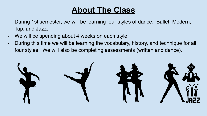- During 1st semester, we will be learning four styles of dance: Ballet, Modern, Tap, and Jazz.
- We will be spending about 4 weeks on each style.
- During this time we will be learning the vocabulary, history, and technique for all four styles. We will also be completing assessments (written and dance).

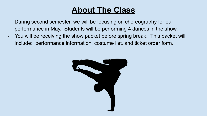- During second semester, we will be focusing on choreography for our performance in May. Students will be performing 4 dances in the show.
- You will be receiving the show packet before spring break. This packet will include: performance information, costume list, and ticket order form.

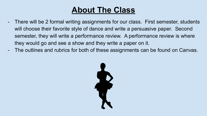- There will be 2 formal writing assignments for our class. First semester, students will choose their favorite style of dance and write a persuasive paper. Second semester, they will write a performance review. A performance review is where they would go and see a show and they write a paper on it.
- The outlines and rubrics for both of these assignments can be found on Canvas.

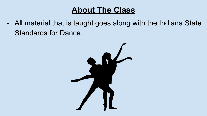- All material that is taught goes along with the Indiana State Standards for Dance.

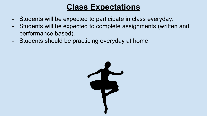### **Class Expectations**

- Students will be expected to participate in class everyday.
- Students will be expected to complete assignments (written and performance based).
- Students should be practicing everyday at home.

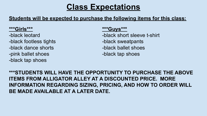#### **Class Expectations**

#### **Students will be expected to purchase the following items for this class:**

-black footless tights -black sweatpants -black dance shorts - black ballet shoes -pink ballet shoes and show the should be shown black tap shoes -black tap shoes

#### **\*\*\*Girls\*\*\* \*\*\*Guys\*\*\***

- -black leotard **-black short sleeve t-shirt** 
	-
	-
	-

**\*\*\*STUDENTS WILL HAVE THE OPPORTUNITY TO PURCHASE THE ABOVE ITEMS FROM ALLIGATOR ALLEY AT A DISCOUNTED PRICE. MORE INFORMATION REGARDING SIZING, PRICING, AND HOW TO ORDER WILL BE MADE AVAILABLE AT A LATER DATE.**